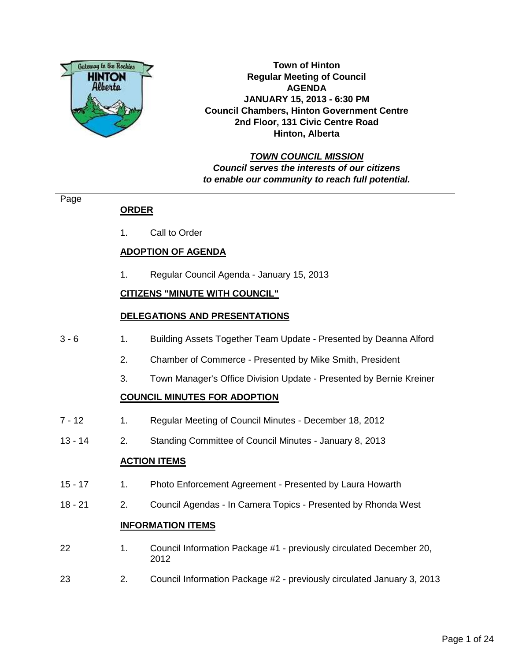

**Town of Hinton Regular Meeting of Council AGENDA JANUARY 15, 2013 - 6:30 PM Council Chambers, Hinton Government Centre 2nd Floor, 131 Civic Centre Road Hinton, Alberta**

# **TOWN COUNCIL MISSION Council serves the interests of our citizens to enable our community to reach full potential.**

#### Page

# **ORDER**

1. Call to Order

# **ADOPTION OF AGENDA**

1. Regular Council Agenda - January 15, 2013

# **CITIZENS "MINUTE WITH COUNCIL"**

# **DELEGATIONS AND PRESENTATIONS**

- 3 6 1. Building Assets Together Team Update Presented by Deanna Alford
	- 2. Chamber of Commerce Presented by Mike Smith, President
	- 3. Town Manager's Office Division Update Presented by Bernie Kreiner

# **COUNCIL MINUTES FOR ADOPTION**

- 7 12 1. Regular Meeting of Council Minutes December 18, 2012
- 13 14 2. Standing Committee of Council Minutes January 8, 2013

#### **ACTION ITEMS**

- 15 17 1. Photo Enforcement Agreement Presented by Laura Howarth
- 18 21 2. Council Agendas In Camera Topics Presented by Rhonda West

#### **INFORMATION ITEMS**

- 22 1. Council Information Package #1 previously circulated December 20, 2012
- 23 2. Council Information Package #2 previously circulated January 3, 2013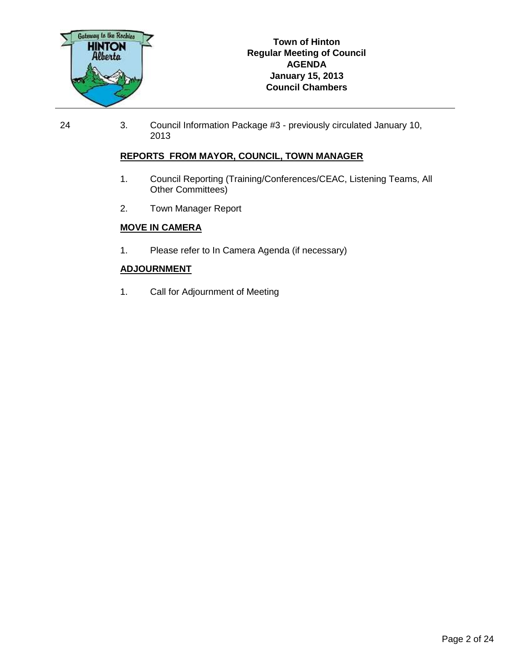

24 3. Council Information Package #3 - previously circulated January 10, 2013

#### **REPORTS FROM MAYOR, COUNCIL, TOWN MANAGER**

- 1. Council Reporting (Training/Conferences/CEAC, Listening Teams, All Other Committees)
- 2. Town Manager Report

#### **MOVE IN CAMERA**

1. Please refer to In Camera Agenda (if necessary)

#### **ADJOURNMENT**

1. Call for Adjournment of Meeting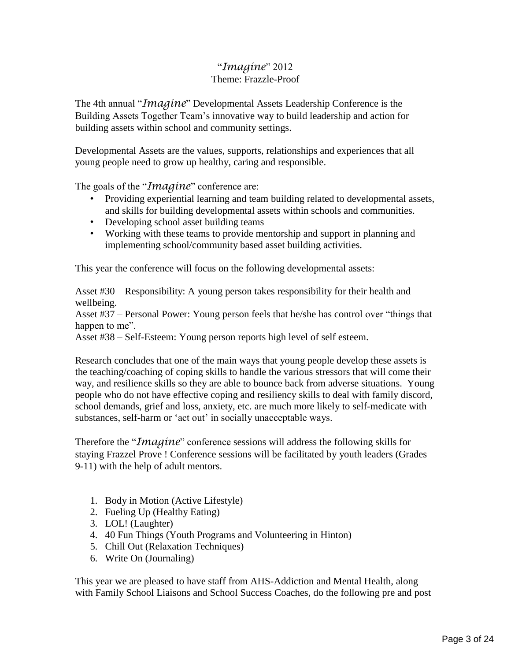# "*Imagine*" 2012 Theme: Frazzle-Proof

The 4th annual "*Imagine*" Developmental Assets Leadership Conference is the Building Assets Together Team's innovative way to build leadership and action for building assets within school and community settings.

Developmental Assets are the values, supports, relationships and experiences that all young people need to grow up healthy, caring and responsible.

The goals of the "*Imagine*" conference are:

- Providing experiential learning and team building related to developmental assets, and skills for building developmental assets within schools and communities.
- Developing school asset building teams
- Working with these teams to provide mentorship and support in planning and implementing school/community based asset building activities.

This year the conference will focus on the following developmental assets:

Asset #30 – Responsibility: A young person takes responsibility for their health and wellbeing.

Asset #37 – Personal Power: Young person feels that he/she has control over "things that happen to me".

Asset #38 – Self-Esteem: Young person reports high level of self esteem.

Research concludes that one of the main ways that young people develop these assets is the teaching/coaching of coping skills to handle the various stressors that will come their way, and resilience skills so they are able to bounce back from adverse situations. Young people who do not have effective coping and resiliency skills to deal with family discord, school demands, grief and loss, anxiety, etc. are much more likely to self-medicate with substances, self-harm or 'act out' in socially unacceptable ways.

Therefore the "*Imagine*" conference sessions will address the following skills for staying Frazzel Prove ! Conference sessions will be facilitated by youth leaders (Grades 9-11) with the help of adult mentors.

- 1. Body in Motion (Active Lifestyle)
- 2. Fueling Up (Healthy Eating)
- 3. LOL! (Laughter)
- 4. 40 Fun Things (Youth Programs and Volunteering in Hinton)
- 5. Chill Out (Relaxation Techniques)
- 6. Write On (Journaling)

This year we are pleased to have staff from AHS-Addiction and Mental Health, along with Family School Liaisons and School Success Coaches, do the following pre and post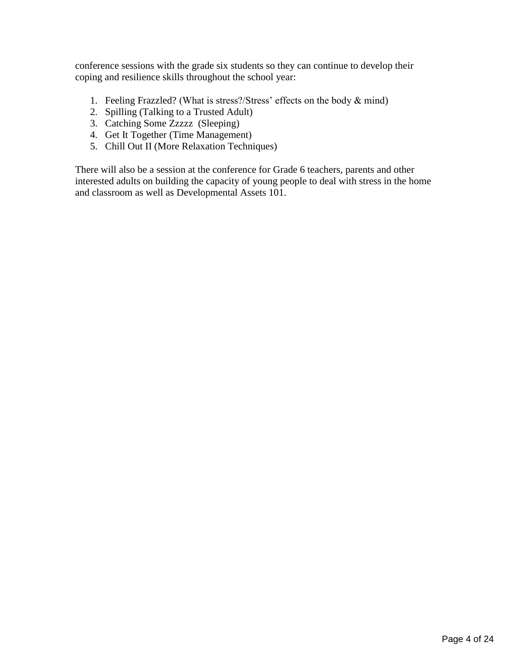conference sessions with the grade six students so they can continue to develop their coping and resilience skills throughout the school year:

- 1. Feeling Frazzled? (What is stress?/Stress' effects on the body & mind)
- 2. Spilling (Talking to a Trusted Adult)
- 3. Catching Some Zzzzz (Sleeping)
- 4. Get It Together (Time Management)
- 5. Chill Out II (More Relaxation Techniques)

There will also be a session at the conference for Grade 6 teachers, parents and other interested adults on building the capacity of young people to deal with stress in the home and classroom as well as Developmental Assets 101.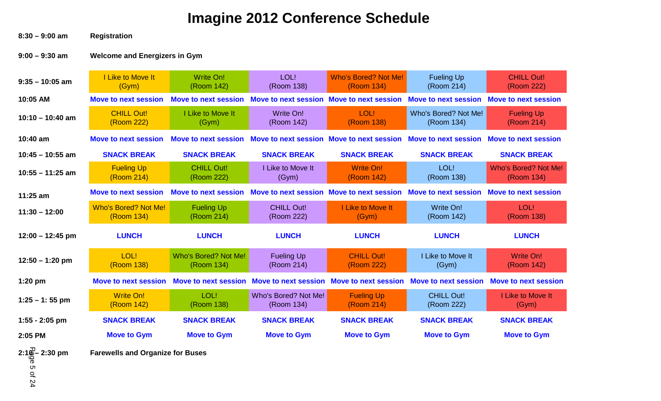# **Imagine 2012 Conference Schedule**

**8:30 – 9:00 am Registration**

# **9:00 – 9:30 am Welcome and Energizers in Gym**

| $9:35 - 10:05$ am  | I Like to Move It<br>(Gym)                | Write On!<br>(Room 142)            | LOL!<br>(Room 138)                        | <b>Who's Bored? Not Me!</b><br>(Room 134) | <b>Fueling Up</b><br>(Room 214)    | <b>CHILL Out!</b><br>(Room 222)           |
|--------------------|-------------------------------------------|------------------------------------|-------------------------------------------|-------------------------------------------|------------------------------------|-------------------------------------------|
| 10:05 AM           | <b>Move to next session</b>               | <b>Move to next session</b>        | Move to next session Move to next session |                                           | <b>Move to next session</b>        | <b>Move to next session</b>               |
| $10:10 - 10:40$ am | <b>CHILL Out!</b><br>(Room 222)           | I Like to Move It<br>(Gym)         | Write On!<br>(Room 142)                   | LOL!<br>(Room 138)                        | Who's Bored? Not Me!<br>(Room 134) | <b>Fueling Up</b><br>(Room 214)           |
| $10:40$ am         | <b>Move to next session</b>               | <b>Move to next session</b>        | Move to next session Move to next session |                                           | <b>Move to next session</b>        | <b>Move to next session</b>               |
| $10:45 - 10:55$ am | <b>SNACK BREAK</b>                        | <b>SNACK BREAK</b>                 | <b>SNACK BREAK</b>                        | <b>SNACK BREAK</b>                        | <b>SNACK BREAK</b>                 | <b>SNACK BREAK</b>                        |
| $10:55 - 11:25$ am | <b>Fueling Up</b><br>(Room 214)           | <b>CHILL Out!</b><br>(Room 222)    | I Like to Move It<br>(Gym)                | <b>Write On!</b><br>(Room 142)            | LOL!<br>(Room 138)                 | <b>Who's Bored? Not Me!</b><br>(Room 134) |
| 11:25 am           | <b>Move to next session</b>               | <b>Move to next session</b>        | Move to next session Move to next session |                                           | <b>Move to next session</b>        | <b>Move to next session</b>               |
| $11:30 - 12:00$    | <b>Who's Bored? Not Me!</b><br>(Room 134) | <b>Fueling Up</b><br>(Room 214)    | <b>CHILL Out!</b><br>(Room 222)           | I Like to Move It<br>(Gym)                | Write On!<br>(Room 142)            | LOL!<br>(Room 138)                        |
| $12:00 - 12:45$ pm | <b>LUNCH</b>                              | <b>LUNCH</b>                       | <b>LUNCH</b>                              | <b>LUNCH</b>                              | <b>LUNCH</b>                       | <b>LUNCH</b>                              |
| $12:50 - 1:20$ pm  | LOL!<br>(Room 138)                        | Who's Bored? Not Me!<br>(Room 134) | <b>Fueling Up</b><br>(Room 214)           | <b>CHILL Out!</b><br>(Room 222)           | I Like to Move It<br>(Gym)         | Write On!<br>(Room 142)                   |
| $1:20$ pm          | <b>Move to next session</b>               | Move to next session               | <b>Move to next session</b>               | <b>Move to next session</b>               | <b>Move to next session</b>        | <b>Move to next session</b>               |
| $1:25 - 1:55$ pm   | <b>Write On!</b><br>(Room 142)            | LOL!<br>(Room 138)                 | Who's Bored? Not Me!<br>(Room 134)        | <b>Fueling Up</b><br>(Room 214)           | <b>CHILL Out!</b><br>(Room 222)    | I Like to Move It<br>(Gym)                |
| $1:55 - 2:05$ pm   | <b>SNACK BREAK</b>                        | <b>SNACK BREAK</b>                 | <b>SNACK BREAK</b>                        | <b>SNACK BREAK</b>                        | <b>SNACK BREAK</b>                 | <b>SNACK BREAK</b>                        |
| 2:05 PM            | <b>Move to Gym</b>                        | <b>Move to Gym</b>                 | <b>Move to Gym</b>                        | <b>Move to Gym</b>                        | <b>Move to Gym</b>                 | <b>Move to Gym</b>                        |

**2:1<sup>0</sup> – 2:30 pm**<br> **Farewells and Organize for Buses**<br> **C**<br> **C**<br> **C**<br> **C** 

Page 5 of 24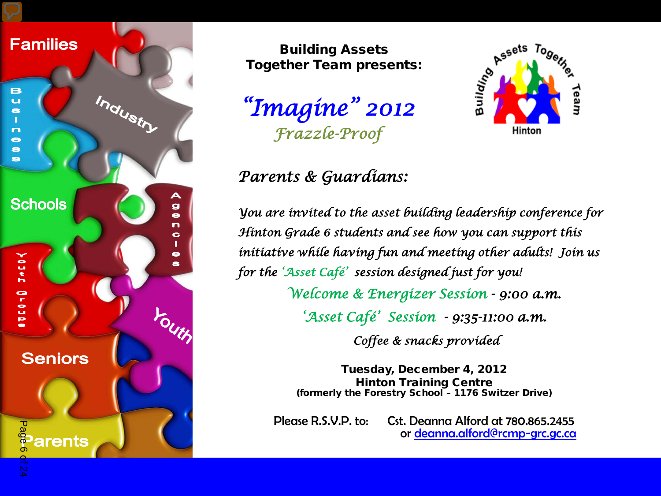

Building Assets Together Team presents:

*"Imagine" 2012 Frazzle-Proof* 



# *Parents & Guardians:*

*You are invited to the asset building leadership conference for Hinton Grade 6 students and see how you can support this initiative while having fun and meeting other adults! Join us for the 'Asset Café' session designed just for you! Welcome & Energizer Session - 9:00 a.m. 'Asset Café' Session - 9:35-11:00 a.m.* 

 *Coffee & snacks provided* 

Tuesday, December 4, 2012 Hinton Training Centre (formerly the Forestry School – 1176 Switzer Drive)

Please R.S.V.P. to: Cst. [Deanna Alford at 780.865.2455](mailto:deanna.alford@rcmp-grc.gc.ca)<br>or [deanna.alford@rcmp-grc.gc.ca](mailto:deanna.alford@rcmp-grc.gc.ca)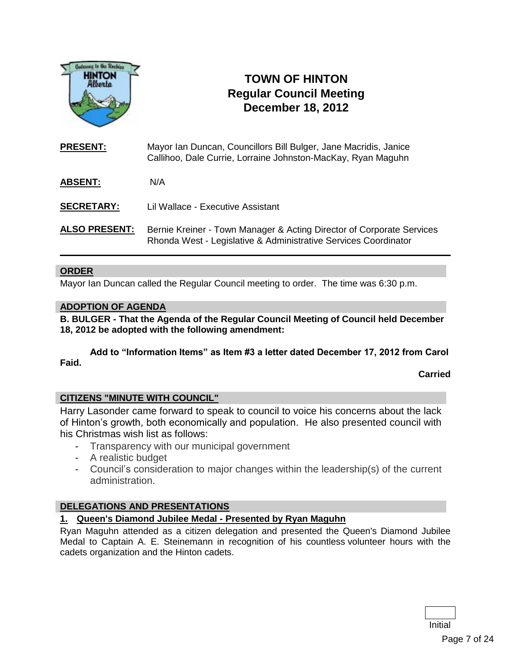

# **TOWN OF HINTON Regular Council Meeting December 18, 2012**

**PRESENT:** Mayor Ian Duncan, Councillors Bill Bulger, Jane Macridis, Janice Callihoo, Dale Currie, Lorraine Johnston-MacKay, Ryan Maguhn

**ABSENT:** N/A

**SECRETARY:**  Lil Wallace - Executive Assistant

ALSO PRESENT: Bernie Kreiner - Town Manager & Acting Director of Corporate Services Rhonda West - Legislative & Administrative Services Coordinator

#### **ORDER**

Mayor Ian Duncan called the Regular Council meeting to order. The time was 6:30 p.m.

#### **ADOPTION OF AGENDA**

**B. BULGER - That the Agenda of the Regular Council Meeting of Council held December 18, 2012 be adopted with the following amendment:**

**Add to "Information Items" as Item #3 a letter dated December 17, 2012 from Carol Faid.**

**Carried**

#### **CITIZENS "MINUTE WITH COUNCIL"**

Harry Lasonder came forward to speak to council to voice his concerns about the lack of Hinton's growth, both economically and population. He also presented council with his Christmas wish list as follows:

- Transparency with our municipal government
- A realistic budget
- Council's consideration to major changes within the leadership(s) of the current administration.

# **DELEGATIONS AND PRESENTATIONS**

#### **1. Queen's Diamond Jubilee Medal - Presented by Ryan Maguhn**

Ryan Maguhn attended as a citizen delegation and presented the Queen's Diamond Jubilee Medal to Captain A. E. Steinemann in recognition of his countless volunteer hours with the cadets organization and the Hinton cadets.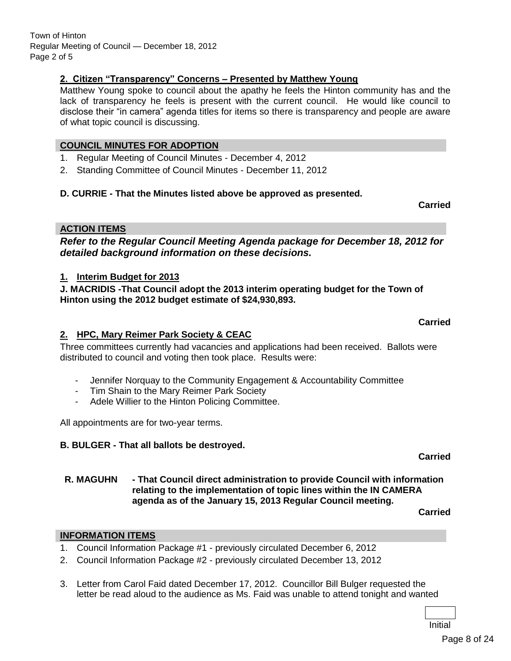Town of Hinton Regular Meeting of Council — December 18, 2012 Page 2 of 5

#### **2. Citizen "Transparency" Concerns – Presented by Matthew Young**

Matthew Young spoke to council about the apathy he feels the Hinton community has and the lack of transparency he feels is present with the current council. He would like council to disclose their "in camera" agenda titles for items so there is transparency and people are aware of what topic council is discussing.

#### **COUNCIL MINUTES FOR ADOPTION**

- 1. Regular Meeting of Council Minutes December 4, 2012
- 2. Standing Committee of Council Minutes December 11, 2012

#### **D. CURRIE - That the Minutes listed above be approved as presented.**

**Carried**

**Carried**

#### **ACTION ITEMS**

*Refer to the Regular Council Meeting Agenda package for December 18, 2012 for detailed background information on these decisions.*

#### **1. Interim Budget for 2013**

**J. MACRIDIS -That Council adopt the 2013 interim operating budget for the Town of Hinton using the 2012 budget estimate of \$24,930,893.**

#### **2. HPC, Mary Reimer Park Society & CEAC**

Three committees currently had vacancies and applications had been received. Ballots were distributed to council and voting then took place. Results were:

- Jennifer Norquay to the Community Engagement & Accountability Committee
- Tim Shain to the Mary Reimer Park Society
- Adele Willier to the Hinton Policing Committee.

All appointments are for two-year terms.

#### **B. BULGER - That all ballots be destroyed.**

**R. MAGUHN - That Council direct administration to provide Council with information relating to the implementation of topic lines within the IN CAMERA agenda as of the January 15, 2013 Regular Council meeting.**

**Carried**

**Carried**

#### **INFORMATION ITEMS**

- 1. Council Information Package #1 previously circulated December 6, 2012
- 2. Council Information Package #2 previously circulated December 13, 2012
- 3. Letter from Carol Faid dated December 17, 2012. Councillor Bill Bulger requested the letter be read aloud to the audience as Ms. Faid was unable to attend tonight and wanted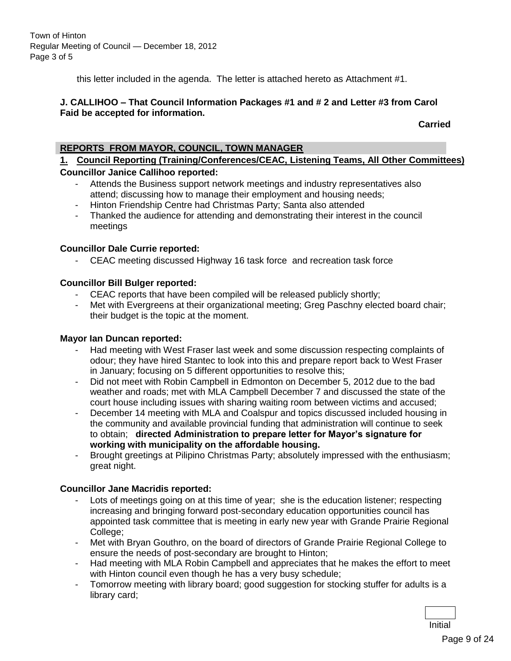Town of Hinton Regular Meeting of Council — December 18, 2012 Page 3 of 5

this letter included in the agenda. The letter is attached hereto as Attachment #1.

#### **J. CALLIHOO – That Council Information Packages #1 and # 2 and Letter #3 from Carol Faid be accepted for information.**

**Carried**

#### **REPORTS FROM MAYOR, COUNCIL, TOWN MANAGER**

### **1. Council Reporting (Training/Conferences/CEAC, Listening Teams, All Other Committees) Councillor Janice Callihoo reported:**

- Attends the Business support network meetings and industry representatives also attend; discussing how to manage their employment and housing needs;
- Hinton Friendship Centre had Christmas Party; Santa also attended
- Thanked the audience for attending and demonstrating their interest in the council meetings

#### **Councillor Dale Currie reported:**

- CEAC meeting discussed Highway 16 task force and recreation task force

#### **Councillor Bill Bulger reported:**

- CEAC reports that have been compiled will be released publicly shortly;
- Met with Evergreens at their organizational meeting; Greg Paschny elected board chair; their budget is the topic at the moment.

#### **Mayor Ian Duncan reported:**

- Had meeting with West Fraser last week and some discussion respecting complaints of odour; they have hired Stantec to look into this and prepare report back to West Fraser in January; focusing on 5 different opportunities to resolve this;
- Did not meet with Robin Campbell in Edmonton on December 5, 2012 due to the bad weather and roads; met with MLA Campbell December 7 and discussed the state of the court house including issues with sharing waiting room between victims and accused;
- December 14 meeting with MLA and Coalspur and topics discussed included housing in the community and available provincial funding that administration will continue to seek to obtain; **directed Administration to prepare letter for Mayor's signature for working with municipality on the affordable housing.**
- Brought greetings at Pilipino Christmas Party; absolutely impressed with the enthusiasm; great night.

#### **Councillor Jane Macridis reported:**

- Lots of meetings going on at this time of year; she is the education listener; respecting increasing and bringing forward post-secondary education opportunities council has appointed task committee that is meeting in early new year with Grande Prairie Regional College;
- Met with Bryan Gouthro, on the board of directors of Grande Prairie Regional College to ensure the needs of post-secondary are brought to Hinton;
- Had meeting with MLA Robin Campbell and appreciates that he makes the effort to meet with Hinton council even though he has a very busy schedule;
- Tomorrow meeting with library board; good suggestion for stocking stuffer for adults is a library card;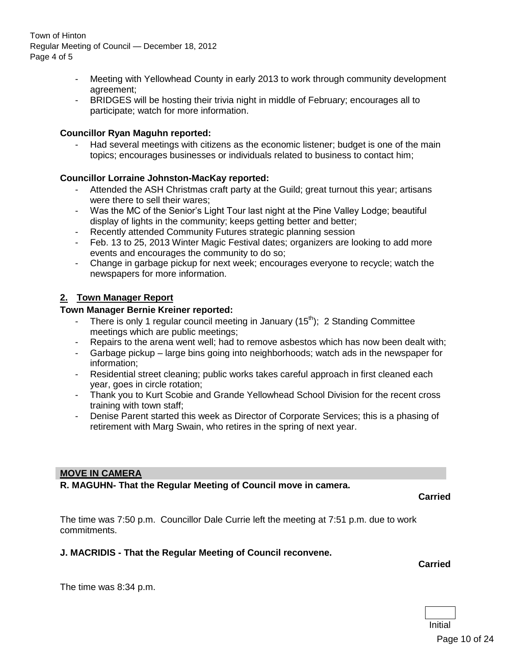Town of Hinton Regular Meeting of Council — December 18, 2012 Page 4 of 5

- Meeting with Yellowhead County in early 2013 to work through community development agreement;
- BRIDGES will be hosting their trivia night in middle of February; encourages all to participate; watch for more information.

#### **Councillor Ryan Maguhn reported:**

Had several meetings with citizens as the economic listener; budget is one of the main topics; encourages businesses or individuals related to business to contact him;

#### **Councillor Lorraine Johnston-MacKay reported:**

- Attended the ASH Christmas craft party at the Guild; great turnout this year; artisans were there to sell their wares;
- Was the MC of the Senior's Light Tour last night at the Pine Valley Lodge; beautiful display of lights in the community; keeps getting better and better;
- Recently attended Community Futures strategic planning session
- Feb. 13 to 25, 2013 Winter Magic Festival dates; organizers are looking to add more events and encourages the community to do so;
- Change in garbage pickup for next week; encourages everyone to recycle; watch the newspapers for more information.

#### **2. Town Manager Report**

#### **Town Manager Bernie Kreiner reported:**

- There is only 1 regular council meeting in January  $(15<sup>th</sup>)$ ; 2 Standing Committee meetings which are public meetings;
- Repairs to the arena went well; had to remove asbestos which has now been dealt with;
- Garbage pickup large bins going into neighborhoods; watch ads in the newspaper for information;
- Residential street cleaning; public works takes careful approach in first cleaned each year, goes in circle rotation;
- Thank you to Kurt Scobie and Grande Yellowhead School Division for the recent cross training with town staff;
- Denise Parent started this week as Director of Corporate Services; this is a phasing of retirement with Marg Swain, who retires in the spring of next year.

#### **MOVE IN CAMERA**

#### **R. MAGUHN- That the Regular Meeting of Council move in camera.**

**Carried**

The time was 7:50 p.m. Councillor Dale Currie left the meeting at 7:51 p.m. due to work commitments.

#### **J. MACRIDIS - That the Regular Meeting of Council reconvene.**

**Carried**

The time was 8:34 p.m.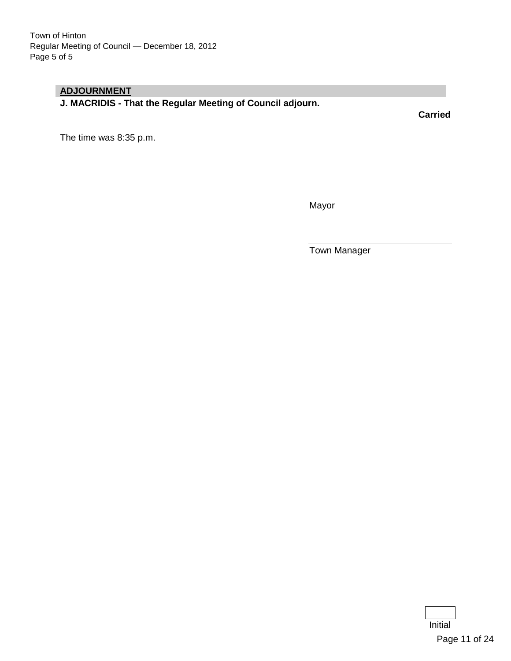# **ADJOURNMENT**

**J. MACRIDIS - That the Regular Meeting of Council adjourn.**

**Carried**

The time was 8:35 p.m.

**Mayor** 

Town Manager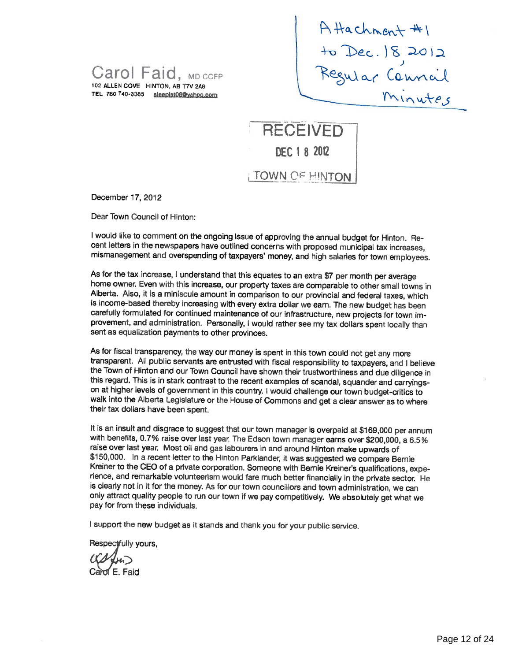Carol Faid, MD CCFP 102 ALLEN COVE HNTON, AB T7V 2A6 TEL 780 740-3385 sleepist 06@yahoo.com

 $Chment$  #1 ) ar Connail

**RECEIVED** DEC 1 8 2012 TOWN OF HINTON

December 17, 2012

Dear Town Council of Hinton:

I would like to comment on the ongoing Issue of approving the annual budget for Hinton. Recent letters in the newspapers have outlined concerns with proposed municipal tax increases, mismanagement and overspending of taxpayers' money, and high salaries for town employees.

As for the tax increase, I understand that this equates to an extra \$7 per month per average home owner. Even with this increase, our property taxes are comparable to other small towns in Alberta. Also, it is a miniscule amount in comparison to our provincial and federal taxes, which<br>is income-based thereby increasing with every extra dollar we earn. The new budget has been carefully formulated for continued maintenance of our infrastructure, new projects for town improvement, and administration. Personally, <sup>I</sup> would rather see my tax dollars spent locally than sent as equalization payments to other provinces.

As for fiscal transparency, the way our money is spent in this town could not get any more transparent. All public servants are entrusted with fiscal responsibility to taxpayers, and <sup>I</sup> believe this regard. This is in stark contrast to the recent examples of scandal, squander and carryingson at higher levels of government in this country. <sup>I</sup> would challenge our town budget-critics to walk into the Alberta Legislature or the House of Commons and get <sup>a</sup> clear answer as to where their tax dollars have been spent.

It is an insult and disgrace to suggest that our town manager is overpaid at \$169,000 per annum with benefits, 0.7% raise over last year. The Edson town manager earns over \$200,000, a 6.5% raise over last year. Most oil an \$150,000. In a recent letter to the Hinton Parklander, it was suggested we compare Bernie<br>Kreiner to the CEO of a private corporation. Someone with Bernie Kreiner's qualifications, experience, and remarkable volunteerism would fare much better financially in the private sector. He is clearly not in it for the money. As for our town councillors and town administration, we can only attract quality people to run our town if we pay competitively. We absolutely get what we pay for from these individuals.

<sup>I</sup> support the new budget as it stands and thank you for your public service.

Respectfully yours,

Carol E. Faid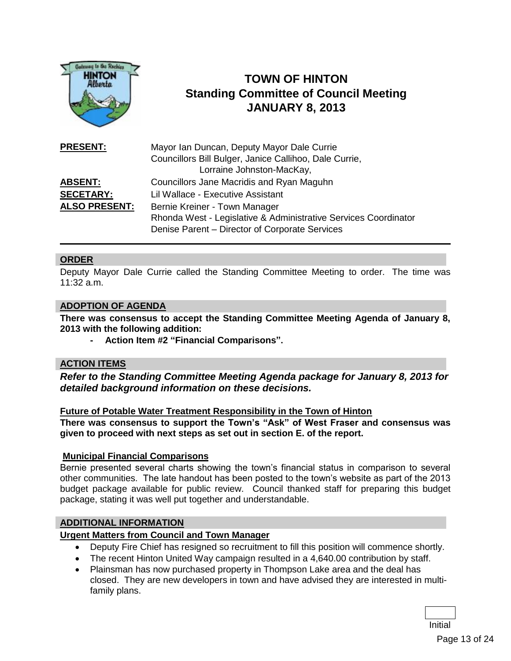

# **TOWN OF HINTON Standing Committee of Council Meeting JANUARY 8, 2013**

| <b>PRESENT:</b>      | Mayor Ian Duncan, Deputy Mayor Dale Currie<br>Councillors Bill Bulger, Janice Callihoo, Dale Currie,<br>Lorraine Johnston-MacKay, |
|----------------------|-----------------------------------------------------------------------------------------------------------------------------------|
| <b>ABSENT:</b>       | Councillors Jane Macridis and Ryan Maguhn                                                                                         |
| <b>SECETARY:</b>     | Lil Wallace - Executive Assistant                                                                                                 |
| <b>ALSO PRESENT:</b> | Bernie Kreiner - Town Manager                                                                                                     |
|                      | Rhonda West - Legislative & Administrative Services Coordinator                                                                   |
|                      | Denise Parent - Director of Corporate Services                                                                                    |

#### **ORDER**

Deputy Mayor Dale Currie called the Standing Committee Meeting to order. The time was  $11:32$  a.m.

#### **ADOPTION OF AGENDA**

**There was consensus to accept the Standing Committee Meeting Agenda of January 8, 2013 with the following addition:**

**- Action Item #2 "Financial Comparisons".**

#### **ACTION ITEMS**

*Refer to the Standing Committee Meeting Agenda package for January 8, 2013 for detailed background information on these decisions.*

#### **Future of Potable Water Treatment Responsibility in the Town of Hinton**

**There was consensus to support the Town's "Ask" of West Fraser and consensus was given to proceed with next steps as set out in section E. of the report.**

#### **Municipal Financial Comparisons**

Bernie presented several charts showing the town's financial status in comparison to several other communities. The late handout has been posted to the town's website as part of the 2013 budget package available for public review. Council thanked staff for preparing this budget package, stating it was well put together and understandable.

#### **ADDITIONAL INFORMATION**

#### **Urgent Matters from Council and Town Manager**

- Deputy Fire Chief has resigned so recruitment to fill this position will commence shortly.
- The recent Hinton United Way campaign resulted in a 4,640.00 contribution by staff.
- Plainsman has now purchased property in Thompson Lake area and the deal has closed. They are new developers in town and have advised they are interested in multifamily plans.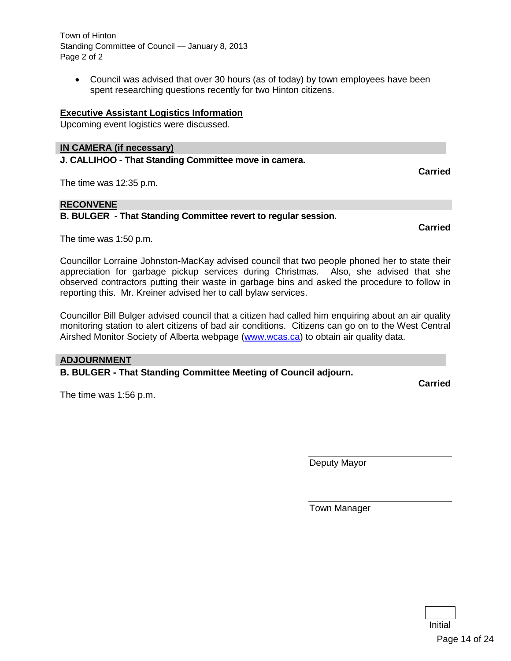Town of Hinton Standing Committee of Council — January 8, 2013 Page 2 of 2

 Council was advised that over 30 hours (as of today) by town employees have been spent researching questions recently for two Hinton citizens.

#### **Executive Assistant Logistics Information**

Upcoming event logistics were discussed.

#### **IN CAMERA (if necessary)**

**J. CALLIHOO - That Standing Committee move in camera.**

The time was 12:35 p.m.

#### **RECONVENE**

**B. BULGER - That Standing Committee revert to regular session.**

**Carried**

**Carried**

The time was 1:50 p.m.

Councillor Lorraine Johnston-MacKay advised council that two people phoned her to state their appreciation for garbage pickup services during Christmas. Also, she advised that she observed contractors putting their waste in garbage bins and asked the procedure to follow in reporting this. Mr. Kreiner advised her to call bylaw services.

Councillor Bill Bulger advised council that a citizen had called him enquiring about an air quality monitoring station to alert citizens of bad air conditions. Citizens can go on to the West Central Airshed Monitor Society of Alberta webpage [\(www.wcas.ca\)](http://www.wcas.ca/) to obtain air quality data.

#### **ADJOURNMENT**

**B. BULGER - That Standing Committee Meeting of Council adjourn.**

The time was 1:56 p.m.

Deputy Mayor

Town Manager

**Carried**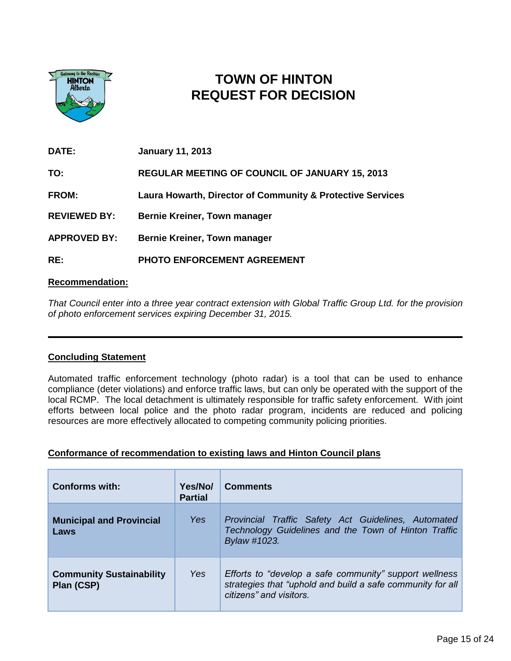

# **TOWN OF HINTON REQUEST FOR DECISION**

| DATE:               | <b>January 11, 2013</b>                                    |
|---------------------|------------------------------------------------------------|
| TO:                 | <b>REGULAR MEETING OF COUNCIL OF JANUARY 15, 2013</b>      |
| <b>FROM:</b>        | Laura Howarth, Director of Community & Protective Services |
| <b>REVIEWED BY:</b> | <b>Bernie Kreiner, Town manager</b>                        |
| <b>APPROVED BY:</b> | <b>Bernie Kreiner, Town manager</b>                        |
| RE:                 | PHOTO ENFORCEMENT AGREEMENT                                |

#### **Recommendation:**

*That Council enter into a three year contract extension with Global Traffic Group Ltd. for the provision of photo enforcement services expiring December 31, 2015.*

#### **Concluding Statement**

Automated traffic enforcement technology (photo radar) is a tool that can be used to enhance compliance (deter violations) and enforce traffic laws, but can only be operated with the support of the local RCMP. The local detachment is ultimately responsible for traffic safety enforcement. With joint efforts between local police and the photo radar program, incidents are reduced and policing resources are more effectively allocated to competing community policing priorities.

#### **Conformance of recommendation to existing laws and Hinton Council plans**

| <b>Conforms with:</b>                         | Yes/No/<br><b>Partial</b> | <b>Comments</b>                                                                                                                                 |
|-----------------------------------------------|---------------------------|-------------------------------------------------------------------------------------------------------------------------------------------------|
| <b>Municipal and Provincial</b><br>Laws       | <b>Yes</b>                | Provincial Traffic Safety Act Guidelines, Automated<br>Technology Guidelines and the Town of Hinton Traffic<br>Bylaw #1023.                     |
| <b>Community Sustainability</b><br>Plan (CSP) | Yes                       | Efforts to "develop a safe community" support wellness<br>strategies that "uphold and build a safe community for all<br>citizens" and visitors. |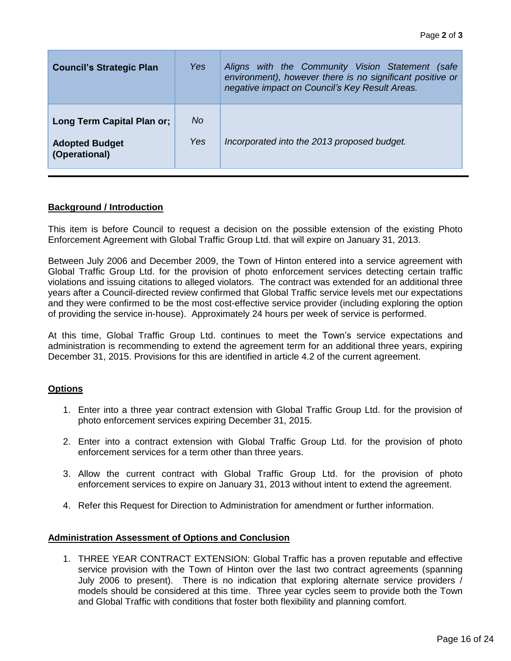| <b>Council's Strategic Plan</b>                                      | Yes        | Aligns with the Community Vision Statement (safe<br>environment), however there is no significant positive or<br>negative impact on Council's Key Result Areas. |
|----------------------------------------------------------------------|------------|-----------------------------------------------------------------------------------------------------------------------------------------------------------------|
| Long Term Capital Plan or;<br><b>Adopted Budget</b><br>(Operational) | No.<br>Yes | Incorporated into the 2013 proposed budget.                                                                                                                     |

#### **Background / Introduction**

This item is before Council to request a decision on the possible extension of the existing Photo Enforcement Agreement with Global Traffic Group Ltd. that will expire on January 31, 2013.

Between July 2006 and December 2009, the Town of Hinton entered into a service agreement with Global Traffic Group Ltd. for the provision of photo enforcement services detecting certain traffic violations and issuing citations to alleged violators. The contract was extended for an additional three years after a Council-directed review confirmed that Global Traffic service levels met our expectations and they were confirmed to be the most cost-effective service provider (including exploring the option of providing the service in-house). Approximately 24 hours per week of service is performed.

At this time, Global Traffic Group Ltd. continues to meet the Town's service expectations and administration is recommending to extend the agreement term for an additional three years, expiring December 31, 2015. Provisions for this are identified in article 4.2 of the current agreement.

#### **Options**

- 1. Enter into a three year contract extension with Global Traffic Group Ltd. for the provision of photo enforcement services expiring December 31, 2015.
- 2. Enter into a contract extension with Global Traffic Group Ltd. for the provision of photo enforcement services for a term other than three years.
- 3. Allow the current contract with Global Traffic Group Ltd. for the provision of photo enforcement services to expire on January 31, 2013 without intent to extend the agreement.
- 4. Refer this Request for Direction to Administration for amendment or further information.

#### **Administration Assessment of Options and Conclusion**

1. THREE YEAR CONTRACT EXTENSION: Global Traffic has a proven reputable and effective service provision with the Town of Hinton over the last two contract agreements (spanning July 2006 to present). There is no indication that exploring alternate service providers / models should be considered at this time. Three year cycles seem to provide both the Town and Global Traffic with conditions that foster both flexibility and planning comfort.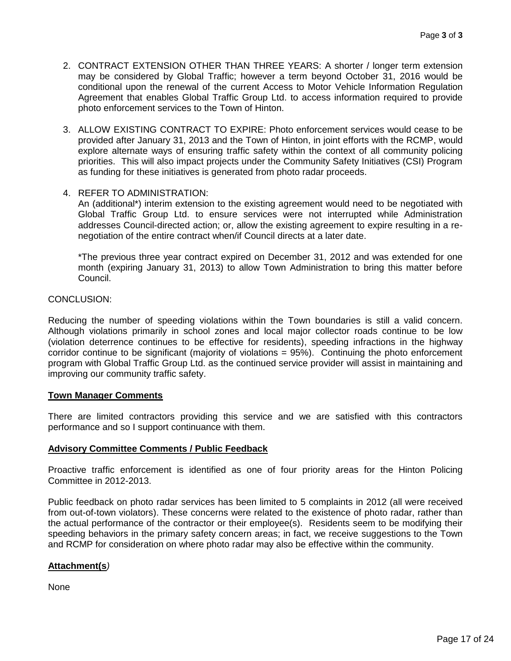- 2. CONTRACT EXTENSION OTHER THAN THREE YEARS: A shorter / longer term extension may be considered by Global Traffic; however a term beyond October 31, 2016 would be conditional upon the renewal of the current Access to Motor Vehicle Information Regulation Agreement that enables Global Traffic Group Ltd. to access information required to provide photo enforcement services to the Town of Hinton.
- 3. ALLOW EXISTING CONTRACT TO EXPIRE: Photo enforcement services would cease to be provided after January 31, 2013 and the Town of Hinton, in joint efforts with the RCMP, would explore alternate ways of ensuring traffic safety within the context of all community policing priorities. This will also impact projects under the Community Safety Initiatives (CSI) Program as funding for these initiatives is generated from photo radar proceeds.

#### 4. REFER TO ADMINISTRATION:

An (additional\*) interim extension to the existing agreement would need to be negotiated with Global Traffic Group Ltd. to ensure services were not interrupted while Administration addresses Council-directed action; or, allow the existing agreement to expire resulting in a renegotiation of the entire contract when/if Council directs at a later date.

\*The previous three year contract expired on December 31, 2012 and was extended for one month (expiring January 31, 2013) to allow Town Administration to bring this matter before Council.

#### CONCLUSION:

Reducing the number of speeding violations within the Town boundaries is still a valid concern. Although violations primarily in school zones and local major collector roads continue to be low (violation deterrence continues to be effective for residents), speeding infractions in the highway corridor continue to be significant (majority of violations = 95%). Continuing the photo enforcement program with Global Traffic Group Ltd. as the continued service provider will assist in maintaining and improving our community traffic safety.

#### **Town Manager Comments**

There are limited contractors providing this service and we are satisfied with this contractors performance and so I support continuance with them.

#### **Advisory Committee Comments / Public Feedback**

Proactive traffic enforcement is identified as one of four priority areas for the Hinton Policing Committee in 2012-2013.

Public feedback on photo radar services has been limited to 5 complaints in 2012 (all were received from out-of-town violators). These concerns were related to the existence of photo radar, rather than the actual performance of the contractor or their employee(s). Residents seem to be modifying their speeding behaviors in the primary safety concern areas; in fact, we receive suggestions to the Town and RCMP for consideration on where photo radar may also be effective within the community.

#### **Attachment(s***)*

None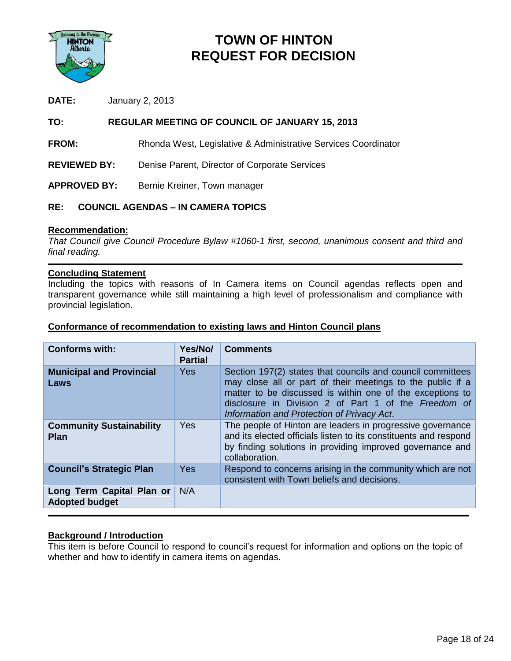

# **TOWN OF HINTON REQUEST FOR DECISION**

**DATE:** January 2, 2013

#### **TO: REGULAR MEETING OF COUNCIL OF JANUARY 15, 2013**

**FROM:** Rhonda West, Legislative & Administrative Services Coordinator

**REVIEWED BY:** Denise Parent, Director of Corporate Services

APPROVED BY: Bernie Kreiner, Town manager

#### **RE: COUNCIL AGENDAS – IN CAMERA TOPICS**

#### **Recommendation:**

*That Council give Council Procedure Bylaw #1060-1 first, second, unanimous consent and third and final reading.*

#### **Concluding Statement**

Including the topics with reasons of In Camera items on Council agendas reflects open and transparent governance while still maintaining a high level of professionalism and compliance with provincial legislation.

#### **Conformance of recommendation to existing laws and Hinton Council plans**

| <b>Conforms with:</b>                              | Yes/No/<br><b>Partial</b> | <b>Comments</b>                                                                                                                                                                                                                                                                             |
|----------------------------------------------------|---------------------------|---------------------------------------------------------------------------------------------------------------------------------------------------------------------------------------------------------------------------------------------------------------------------------------------|
| <b>Municipal and Provincial</b><br>Laws            | <b>Yes</b>                | Section 197(2) states that councils and council committees<br>may close all or part of their meetings to the public if a<br>matter to be discussed is within one of the exceptions to<br>disclosure in Division 2 of Part 1 of the Freedom of<br>Information and Protection of Privacy Act. |
| <b>Community Sustainability</b><br><b>Plan</b>     | <b>Yes</b>                | The people of Hinton are leaders in progressive governance<br>and its elected officials listen to its constituents and respond<br>by finding solutions in providing improved governance and<br>collaboration.                                                                               |
| <b>Council's Strategic Plan</b>                    | <b>Yes</b>                | Respond to concerns arising in the community which are not<br>consistent with Town beliefs and decisions.                                                                                                                                                                                   |
| Long Term Capital Plan or<br><b>Adopted budget</b> | N/A                       |                                                                                                                                                                                                                                                                                             |

#### **Background / Introduction**

This item is before Council to respond to council's request for information and options on the topic of whether and how to identify in camera items on agendas.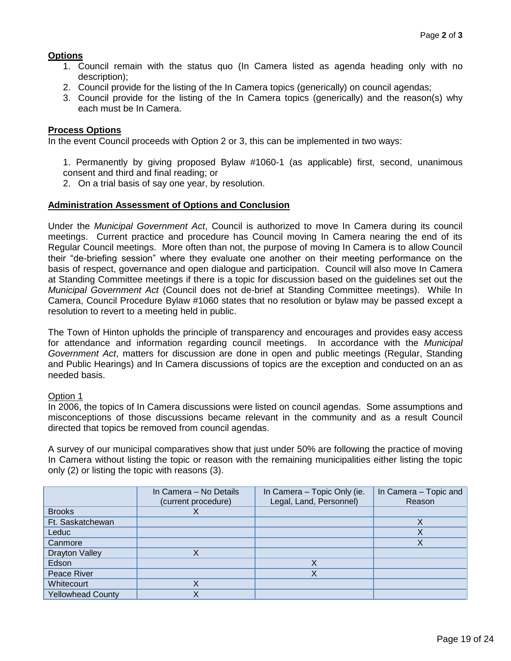#### **Options**

- 1. Council remain with the status quo (In Camera listed as agenda heading only with no description);
- 2. Council provide for the listing of the In Camera topics (generically) on council agendas;
- 3. Council provide for the listing of the In Camera topics (generically) and the reason(s) why each must be In Camera.

#### **Process Options**

In the event Council proceeds with Option 2 or 3, this can be implemented in two ways:

1. Permanently by giving proposed Bylaw #1060-1 (as applicable) first, second, unanimous consent and third and final reading; or

2. On a trial basis of say one year, by resolution.

#### **Administration Assessment of Options and Conclusion**

Under the *Municipal Government Act*, Council is authorized to move In Camera during its council meetings. Current practice and procedure has Council moving In Camera nearing the end of its Regular Council meetings. More often than not, the purpose of moving In Camera is to allow Council their "de-briefing session" where they evaluate one another on their meeting performance on the basis of respect, governance and open dialogue and participation. Council will also move In Camera at Standing Committee meetings if there is a topic for discussion based on the guidelines set out the *Municipal Government Act* (Council does not de-brief at Standing Committee meetings). While In Camera, Council Procedure Bylaw #1060 states that no resolution or bylaw may be passed except a resolution to revert to a meeting held in public.

The Town of Hinton upholds the principle of transparency and encourages and provides easy access for attendance and information regarding council meetings. In accordance with the *Municipal Government Act*, matters for discussion are done in open and public meetings (Regular, Standing and Public Hearings) and In Camera discussions of topics are the exception and conducted on an as needed basis.

#### Option 1

In 2006, the topics of In Camera discussions were listed on council agendas. Some assumptions and misconceptions of those discussions became relevant in the community and as a result Council directed that topics be removed from council agendas.

A survey of our municipal comparatives show that just under 50% are following the practice of moving In Camera without listing the topic or reason with the remaining municipalities either listing the topic only (2) or listing the topic with reasons (3).

|                          | In Camera - No Details<br>(current procedure) | In Camera - Topic Only (ie.<br>Legal, Land, Personnel) | In Camera - Topic and<br>Reason |
|--------------------------|-----------------------------------------------|--------------------------------------------------------|---------------------------------|
| <b>Brooks</b>            |                                               |                                                        |                                 |
| Ft. Saskatchewan         |                                               |                                                        | Χ                               |
| Leduc                    |                                               |                                                        | $\checkmark$<br>↗               |
| Canmore                  |                                               |                                                        | Χ                               |
| <b>Drayton Valley</b>    |                                               |                                                        |                                 |
| Edson                    |                                               | Χ                                                      |                                 |
| Peace River              |                                               | Χ                                                      |                                 |
| Whitecourt               |                                               |                                                        |                                 |
| <b>Yellowhead County</b> |                                               |                                                        |                                 |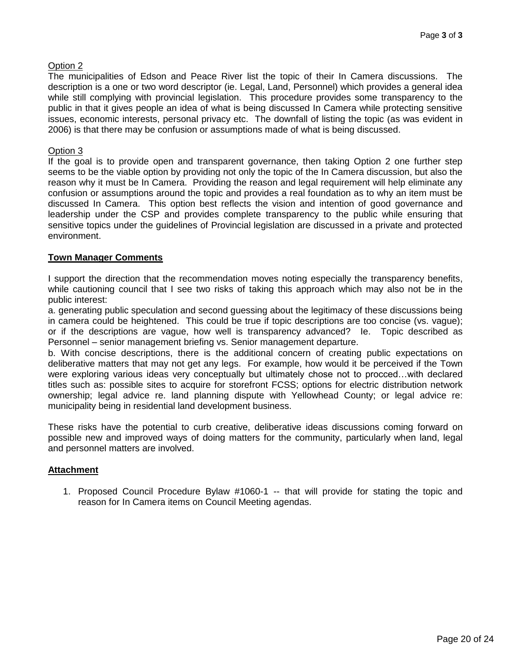#### Option 2

The municipalities of Edson and Peace River list the topic of their In Camera discussions. The description is a one or two word descriptor (ie. Legal, Land, Personnel) which provides a general idea while still complying with provincial legislation. This procedure provides some transparency to the public in that it gives people an idea of what is being discussed In Camera while protecting sensitive issues, economic interests, personal privacy etc. The downfall of listing the topic (as was evident in 2006) is that there may be confusion or assumptions made of what is being discussed.

#### Option 3

If the goal is to provide open and transparent governance, then taking Option 2 one further step seems to be the viable option by providing not only the topic of the In Camera discussion, but also the reason why it must be In Camera. Providing the reason and legal requirement will help eliminate any confusion or assumptions around the topic and provides a real foundation as to why an item must be discussed In Camera. This option best reflects the vision and intention of good governance and leadership under the CSP and provides complete transparency to the public while ensuring that sensitive topics under the guidelines of Provincial legislation are discussed in a private and protected environment.

#### **Town Manager Comments**

I support the direction that the recommendation moves noting especially the transparency benefits, while cautioning council that I see two risks of taking this approach which may also not be in the public interest:

a. generating public speculation and second guessing about the legitimacy of these discussions being in camera could be heightened. This could be true if topic descriptions are too concise (vs. vague); or if the descriptions are vague, how well is transparency advanced? Ie. Topic described as Personnel – senior management briefing vs. Senior management departure.

b. With concise descriptions, there is the additional concern of creating public expectations on deliberative matters that may not get any legs. For example, how would it be perceived if the Town were exploring various ideas very conceptually but ultimately chose not to procced…with declared titles such as: possible sites to acquire for storefront FCSS; options for electric distribution network ownership; legal advice re. land planning dispute with Yellowhead County; or legal advice re: municipality being in residential land development business.

These risks have the potential to curb creative, deliberative ideas discussions coming forward on possible new and improved ways of doing matters for the community, particularly when land, legal and personnel matters are involved.

#### **Attachment**

1. Proposed Council Procedure Bylaw #1060-1 -- that will provide for stating the topic and reason for In Camera items on Council Meeting agendas.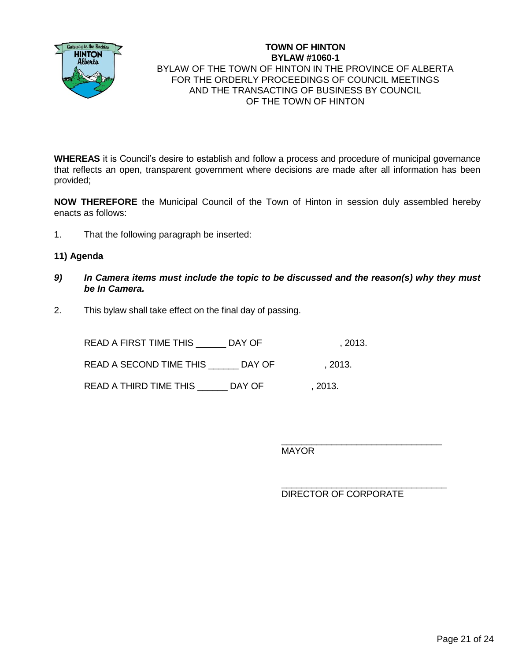

#### **TOWN OF HINTON BYLAW #1060-1** BYLAW OF THE TOWN OF HINTON IN THE PROVINCE OF ALBERTA FOR THE ORDERLY PROCEEDINGS OF COUNCIL MEETINGS AND THE TRANSACTING OF BUSINESS BY COUNCIL OF THE TOWN OF HINTON

**WHEREAS** it is Council's desire to establish and follow a process and procedure of municipal governance that reflects an open, transparent government where decisions are made after all information has been provided;

**NOW THEREFORE** the Municipal Council of the Town of Hinton in session duly assembled hereby enacts as follows:

1. That the following paragraph be inserted:

#### **11) Agenda**

- *9) In Camera items must include the topic to be discussed and the reason(s) why they must be In Camera.*
- 2. This bylaw shall take effect on the final day of passing.

READ A FIRST TIME THIS \_\_\_\_\_\_\_ DAY OF  $\hspace{1.5cm}$  , 2013. READ A SECOND TIME THIS \_\_\_\_\_\_ DAY OF , 2013. READ A THIRD TIME THIS LAY OF , 2013.

MAYOR

DIRECTOR OF CORPORATE

\_\_\_\_\_\_\_\_\_\_\_\_\_\_\_\_\_\_\_\_\_\_\_\_\_\_\_\_\_\_\_\_

\_\_\_\_\_\_\_\_\_\_\_\_\_\_\_\_\_\_\_\_\_\_\_\_\_\_\_\_\_\_\_\_\_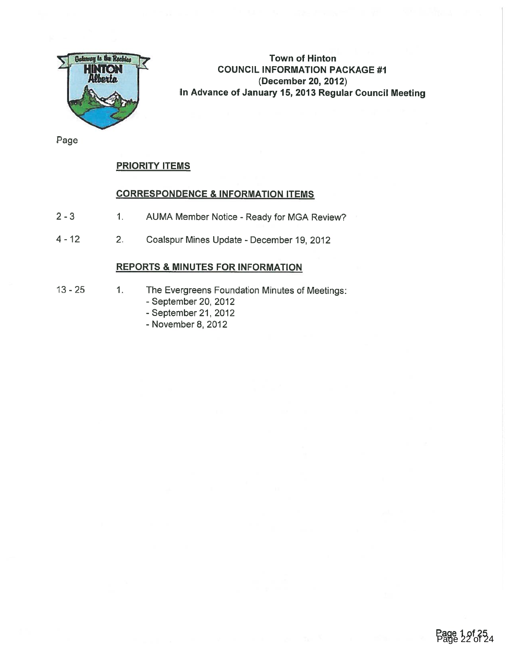

Town of Hinton COUNCIL INFORMATION PACKAGE #1 (December 20, 2012) In Advance of January 15, 2013 Regular Council Meeting

Page

#### PRIORITY ITEMS

#### CORRESPONDENCE & INFORMATION ITEMS

- 2 3 1. AUMA Member Notice Ready for MGA Review?
- 4 12 2. Coalspur Mines Update December 19, 2012

# REPORTS & MINUTES FOR INFORMATION

- 
- 13 25 1. The Evergreens Foundation Minutes of Meetings:
	- September 20, 2012
	- September 21, 2012
	- November 8, 2012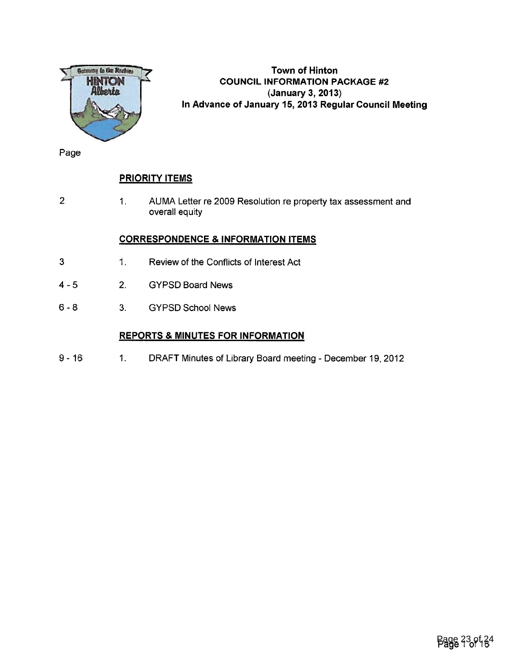

# Town of Hinton COUNCIL INFORMATION PACKAGE #2 (January 3, 2013) In Advance of January 15, 2013 Regular Council Meeting

Page

# PRIORITY ITEMS

2 1. AUMA Letter re 2009 Resolution re property tax assessment and overall equity

#### CORRESPONDENCE & INFORMATION ITEMS

- 3 1. Review of the Conflicts of Interest Act
- 4 5 2. GYPSD Board News
- 6 -8 3. GYPSD School News

### REPORTS & MINUTES FOR INFORMATION

9 - 16 1. DRAFT Minutes of Library Board meeting - December 19, 2012